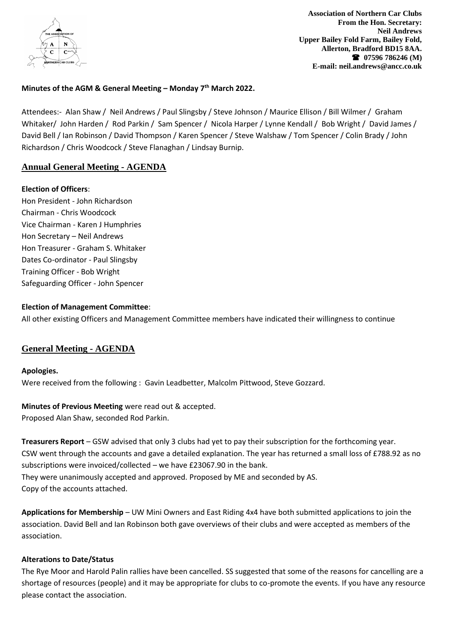

# **Minutes of the AGM & General Meeting – Monday 7 th March 2022.**

Attendees:- Alan Shaw / Neil Andrews / Paul Slingsby / Steve Johnson / Maurice Ellison / Bill Wilmer / Graham Whitaker/ John Harden / Rod Parkin / Sam Spencer / Nicola Harper / Lynne Kendall / Bob Wright / David James / David Bell / Ian Robinson / David Thompson / Karen Spencer / Steve Walshaw / Tom Spencer / Colin Brady / John Richardson / Chris Woodcock / Steve Flanaghan / Lindsay Burnip.

# **Annual General Meeting - AGENDA**

### **Election of Officers**:

Hon President - John Richardson Chairman - Chris Woodcock Vice Chairman - Karen J Humphries Hon Secretary – Neil Andrews Hon Treasurer - Graham S. Whitaker Dates Co-ordinator - Paul Slingsby Training Officer - Bob Wright Safeguarding Officer - John Spencer

## **Election of Management Committee**:

All other existing Officers and Management Committee members have indicated their willingness to continue

# **General Meeting - AGENDA**

#### **Apologies.**

Were received from the following : Gavin Leadbetter, Malcolm Pittwood, Steve Gozzard.

## **Minutes of Previous Meeting** were read out & accepted.

Proposed Alan Shaw, seconded Rod Parkin.

**Treasurers Report** – GSW advised that only 3 clubs had yet to pay their subscription for the forthcoming year. CSW went through the accounts and gave a detailed explanation. The year has returned a small loss of £788.92 as no subscriptions were invoiced/collected – we have £23067.90 in the bank. They were unanimously accepted and approved. Proposed by ME and seconded by AS. Copy of the accounts attached.

**Applications for Membership** – UW Mini Owners and East Riding 4x4 have both submitted applications to join the association. David Bell and Ian Robinson both gave overviews of their clubs and were accepted as members of the association.

## **Alterations to Date/Status**

The Rye Moor and Harold Palin rallies have been cancelled. SS suggested that some of the reasons for cancelling are a shortage of resources (people) and it may be appropriate for clubs to co-promote the events. If you have any resource please contact the association.